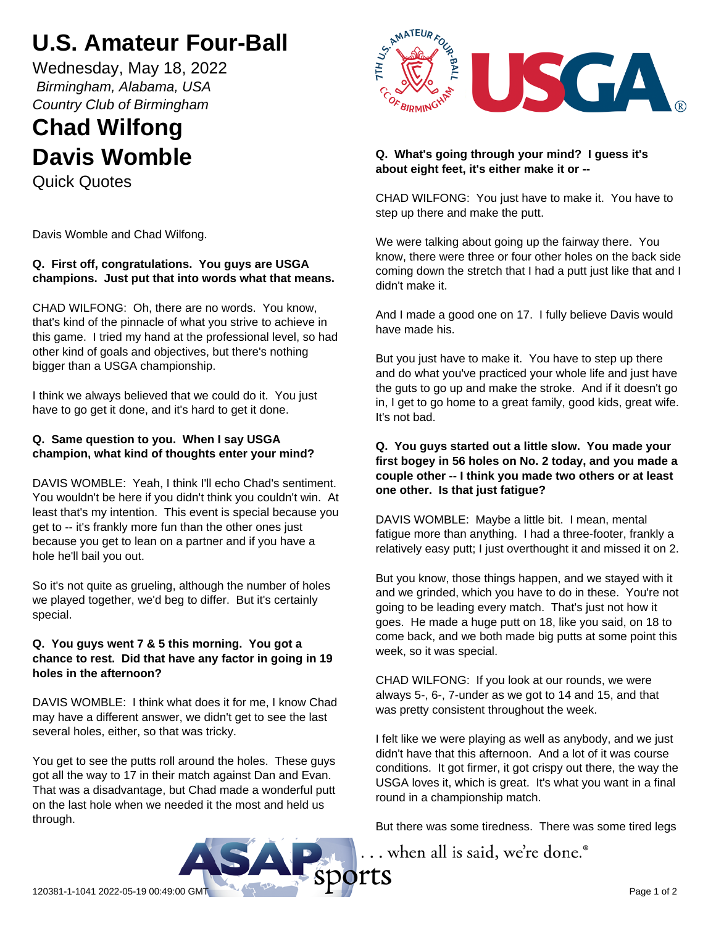# **U.S. Amateur Four-Ball**

Wednesday, May 18, 2022  *Birmingham, Alabama, USA Country Club of Birmingham*

# **Chad Wilfong Davis Womble**

Quick Quotes

Davis Womble and Chad Wilfong.

# **Q. First off, congratulations. You guys are USGA champions. Just put that into words what that means.**

CHAD WILFONG: Oh, there are no words. You know, that's kind of the pinnacle of what you strive to achieve in this game. I tried my hand at the professional level, so had other kind of goals and objectives, but there's nothing bigger than a USGA championship.

I think we always believed that we could do it. You just have to go get it done, and it's hard to get it done.

### **Q. Same question to you. When I say USGA champion, what kind of thoughts enter your mind?**

DAVIS WOMBLE: Yeah, I think I'll echo Chad's sentiment. You wouldn't be here if you didn't think you couldn't win. At least that's my intention. This event is special because you get to -- it's frankly more fun than the other ones just because you get to lean on a partner and if you have a hole he'll bail you out.

So it's not quite as grueling, although the number of holes we played together, we'd beg to differ. But it's certainly special.

### **Q. You guys went 7 & 5 this morning. You got a chance to rest. Did that have any factor in going in 19 holes in the afternoon?**

DAVIS WOMBLE: I think what does it for me, I know Chad may have a different answer, we didn't get to see the last several holes, either, so that was tricky.

You get to see the putts roll around the holes. These guys got all the way to 17 in their match against Dan and Evan. That was a disadvantage, but Chad made a wonderful putt on the last hole when we needed it the most and held us through.



### **Q. What's going through your mind? I guess it's about eight feet, it's either make it or --**

CHAD WILFONG: You just have to make it. You have to step up there and make the putt.

We were talking about going up the fairway there. You know, there were three or four other holes on the back side coming down the stretch that I had a putt just like that and I didn't make it.

And I made a good one on 17. I fully believe Davis would have made his.

But you just have to make it. You have to step up there and do what you've practiced your whole life and just have the guts to go up and make the stroke. And if it doesn't go in, I get to go home to a great family, good kids, great wife. It's not bad.

## **Q. You guys started out a little slow. You made your first bogey in 56 holes on No. 2 today, and you made a couple other -- I think you made two others or at least one other. Is that just fatigue?**

DAVIS WOMBLE: Maybe a little bit. I mean, mental fatigue more than anything. I had a three-footer, frankly a relatively easy putt; I just overthought it and missed it on 2.

But you know, those things happen, and we stayed with it and we grinded, which you have to do in these. You're not going to be leading every match. That's just not how it goes. He made a huge putt on 18, like you said, on 18 to come back, and we both made big putts at some point this week, so it was special.

CHAD WILFONG: If you look at our rounds, we were always 5-, 6-, 7-under as we got to 14 and 15, and that was pretty consistent throughout the week.

I felt like we were playing as well as anybody, and we just didn't have that this afternoon. And a lot of it was course conditions. It got firmer, it got crispy out there, the way the USGA loves it, which is great. It's what you want in a final round in a championship match.

But there was some tiredness. There was some tired legs

... when all is said, we're done.®